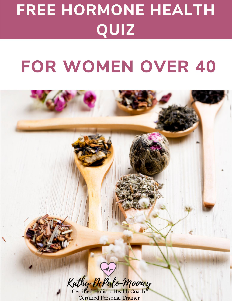# FREE HORMONE HEALTH QUIZ

# **FOR WOMEN OVER 40**



**Certified Personal Trainer**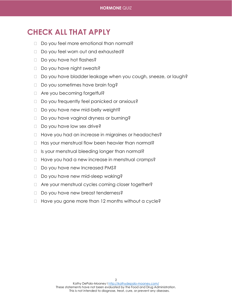## **CHECK ALL THAT APPLY**

- □ Do you feel more emotional than normal?
- □ Do you feel worn out and exhausted?
- Do you have hot flashes?
- □ Do you have night sweats?
- □ Do you have bladder leakage when you cough, sneeze, or laugh?
- □ Do you sometimes have brain fog?
- □ Are you becoming forgetful?
- □ Do you frequently feel panicked or anxious?
- □ Do you have new mid-belly weight?
- □ Do you have vaginal dryness or burning?
- $\Box$  Do you have low sex drive?
- □ Have you had an increase in migraines or headaches?
- $\Box$  Has your menstrual flow been heavier than normal?
- □ Is your menstrual bleeding longer than normal?
- $\Box$  Have you had a new increase in menstrual cramps?
- Do you have new Increased PMS?
- □ Do you have new mid-sleep waking?
- □ Are your menstrual cycles coming closer together?
- Do you have new breast tenderness?
- $\Box$  Have you gone more than 12 months without a cycle?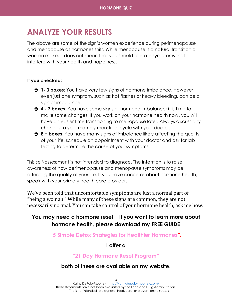## **ANALYZE YOUR RESULTS**

The above are some of the sign's women experience during perimenopause and menopause as hormones shift. While menopause is a natural transition all women make, it does not mean that you should tolerate symptoms that interfere with your health and happiness.

#### **If you checked:**

- **1- 3 boxes**: You have very few signs of hormone imbalance. However, even just one symptom, such as hot flashes or heavy bleeding, can be a sign of imbalance.
- **4 - 7 boxes**: You have some signs of hormone imbalance; it is time to make some changes. If you work on your hormone health now, you will have an easier time transitioning to menopause later. Always discuss any changes to your monthly menstrual cycle with your doctor.
- **8 + boxes**: You have many signs of imbalance likely affecting the quality of your life, schedule an appointment with your doctor and ask for lab testing to determine the cause of your symptoms.

This self-assessment is not intended to diagnose. The intention is to raise awareness of how perimenopause and menopause symptoms may be affecting the quality of your life. If you have concerns about hormone health, speak with your primary health care provider.

We've been told that uncomfortable symptoms are just a normal part of "being a woman." While many of these signs are common, they are not necessarily normal. You can take control of your hormone health, ask me how.

### **You may need a hormone reset. If you want to learn more about hormone health, please download my FREE GUIDE**

**"5 Simple Detox Strategies for Healthier Hormones".** 

#### **I offer a**

#### **"21 Day Hormone Reset Program"**

#### **both of these are available on my [website.](http://kathydepalo-mooney.com/)**

3 Kathy DePalo-Mooney [I http://kathydepalo-mooney.com/](http://kathydepalo-mooney.com/) These statements have not been evaluated by the Food and Drug Administration. This is not intended to diagnose, treat, cure, or prevent any diseases.